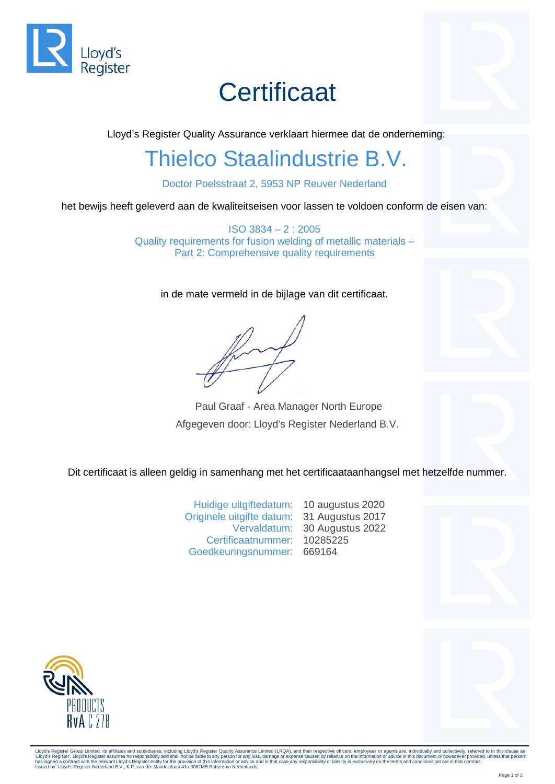

# **Certificaat**

Lloyd's Register Quality Assurance verklaart hiermee dat de onderneming:

### Thielco Staalindustrie B.V.

Doctor Poelsstraat 2, 5953 NP Reuver Nederland

het bewijs heeft geleverd aan de kwaliteitseisen voor lassen te voldoen conform de eisen van:

ISO 3834 – 2 : 2005 Quality requirements for fusion welding of metallic materials – Part 2: Comprehensive quality requirements

in de mate vermeld in de bijlage van dit certificaat.

Paul Graaf - Area Manager North Europe Afgegeven door: Lloyd's Register Nederland B.V.

Dit certificaat is alleen geldig in samenhang met het certificaataanhangsel met hetzelfde nummer.

Huidige uitgiftedatum: 10 augustus 2020 Originele uitgifte datum: 31 Augustus 2017 Vervaldatum: 30 Augustus 2022 Certificaatnummer: 10285225 Goedkeuringsnummer: 669164





Lloyd's Register Group Limited, its affiliates and subsidiaries, including Lloyd's Register Quality Assurance Limited (LRQA), and their respective officers, employees or agents are, individually and collectively, referred 'Lloyd's Register'. Lloyd's Register assumes no responsibility and shall not be liable to any person for any loss, damage or expense caused by reliance on the information or advice in this document or howsoever provided, u